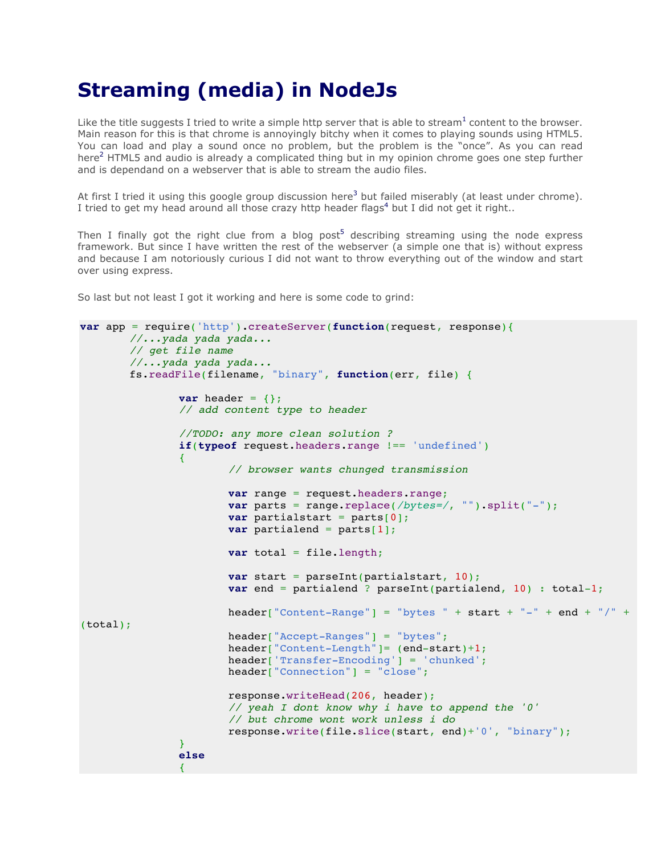## **Streaming (media) in NodeJs**

Like the title suggests I tried to write a simple http server that is able to stream<sup>1</sup> content to the browser. Main reason for this is that chrome is annoyingly bitchy when it comes to playing sounds using HTML5. You can load and play a sound once no problem, but the problem is the "once". As you can read here<sup>2</sup> HTML5 and audio is already a complicated thing but in my opinion chrome goes one step further and is dependand on a webserver that is able to stream the audio files.

At first I tried it using this google group discussion here<sup>3</sup> but failed miserably (at least under chrome). I tried to get my head around all those crazy http header flags<sup>4</sup> but I did not get it right..

Then I finally got the right clue from a blog post<sup>5</sup> describing streaming using the node express framework. But since I have written the rest of the webserver (a simple one that is) without express and because I am notoriously curious I did not want to throw everything out of the window and start over using express.

So last but not least I got it working and here is some code to grind:

```
var app = require('http').createServer(function(request, response){
       //...yada yada yada...
       // get file name
       //...yada yada yada...
       fs.readFile(filename, "binary", function(err, file) {
               var header = \{\};
               // add content type to header
               //TODO: any more clean solution ?
               if(typeof request.headers.range !== 'undefined')
               {
                       // browser wants chunged transmission
                       var range = request.headers.range;
                       var parts = range.replace(/bytes=/, "").split("-");
                       var partialstart = parts[0];
                       var partialend = parts[1];
                       var total = file.length;
                       var start = parseInt(partialstart, 10);
                       var end = partialend ? parseInt(partialend, 10) : total-1;
                       header["Content-Range"] = "bytes " + start + "-" + end + "/" +
(total);
                       header["Accept-Ranges"] = "bytes";
                       header["Content-Length"]= (end-start)+1;
                       header['Transfer-Encoding'] = 'chunked';
                       header["Connection"] = "close";
                       response.writeHead(206, header);
                       // yeah I dont know why i have to append the '0'
                       // but chrome wont work unless i do
                       response.write(file.slice(start, end)+'0', "binary");
               }
               else
               {
```